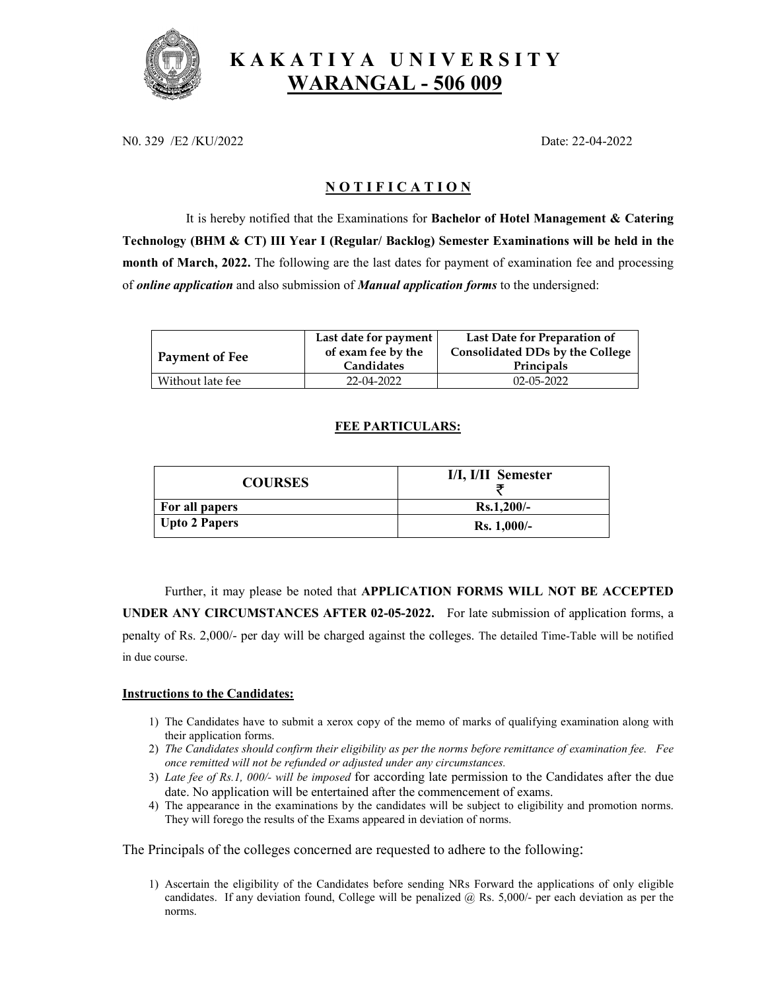

# **K A K A T I Y A U N I V E R S I T Y WARANGAL - 506 009**

N0. 329 /E2 /KU/2022 Date: 22-04-2022

## **N O T I F I C A T I O N**

It is hereby notified that the Examinations for **Bachelor of Hotel Management & Catering Technology (BHM & CT) III Year I (Regular/ Backlog) Semester Examinations will be held in the month of March, 2022.** The following are the last dates for payment of examination fee and processing of *online application* and also submission of *Manual application forms* to the undersigned:

|                  | Last date for payment | Last Date for Preparation of    |
|------------------|-----------------------|---------------------------------|
| Payment of Fee   | of exam fee by the    | Consolidated DDs by the College |
|                  | Candidates            | Principals                      |
| Without late fee | 22-04-2022            | $02 - 05 - 2022$                |

### **FEE PARTICULARS:**

| <b>COURSES</b>       | I/I, I/II Semester |
|----------------------|--------------------|
| For all papers       | $Rs.1,200/-$       |
| <b>Upto 2 Papers</b> | $Rs. 1,000/-$      |

Further, it may please be noted that **APPLICATION FORMS WILL NOT BE ACCEPTED UNDER ANY CIRCUMSTANCES AFTER 02-05-2022.** For late submission of application forms, a penalty of Rs. 2,000/- per day will be charged against the colleges. The detailed Time-Table will be notified in due course.

#### **Instructions to the Candidates:**

- 1) The Candidates have to submit a xerox copy of the memo of marks of qualifying examination along with their application forms.
- 2) *The Candidates should confirm their eligibility as per the norms before remittance of examination fee. Fee once remitted will not be refunded or adjusted under any circumstances.*
- 3) *Late fee of Rs.1, 000/- will be imposed* for according late permission to the Candidates after the due date. No application will be entertained after the commencement of exams.
- 4) The appearance in the examinations by the candidates will be subject to eligibility and promotion norms. They will forego the results of the Exams appeared in deviation of norms.

The Principals of the colleges concerned are requested to adhere to the following:

1) Ascertain the eligibility of the Candidates before sending NRs Forward the applications of only eligible candidates. If any deviation found, College will be penalized  $\omega$  Rs. 5,000/- per each deviation as per the norms.